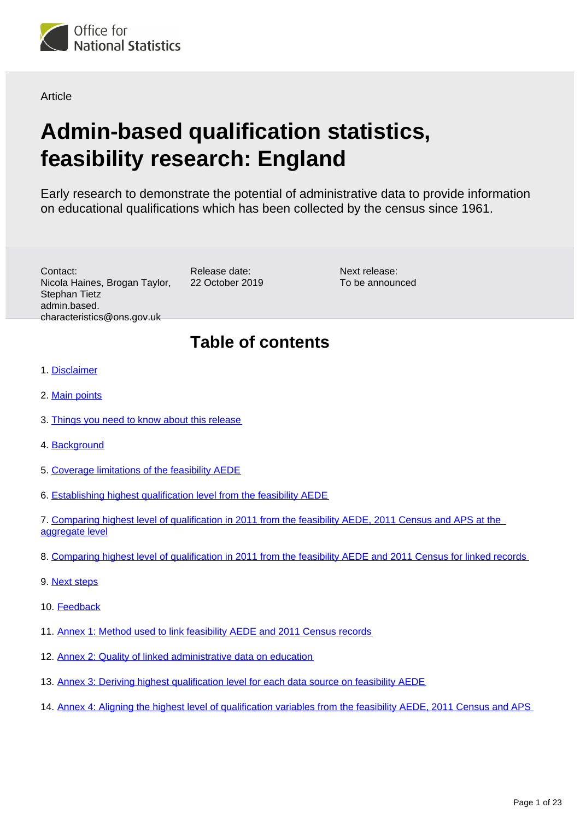<span id="page-0-0"></span>

**Article** 

# **Admin-based qualification statistics, feasibility research: England**

Early research to demonstrate the potential of administrative data to provide information on educational qualifications which has been collected by the census since 1961.

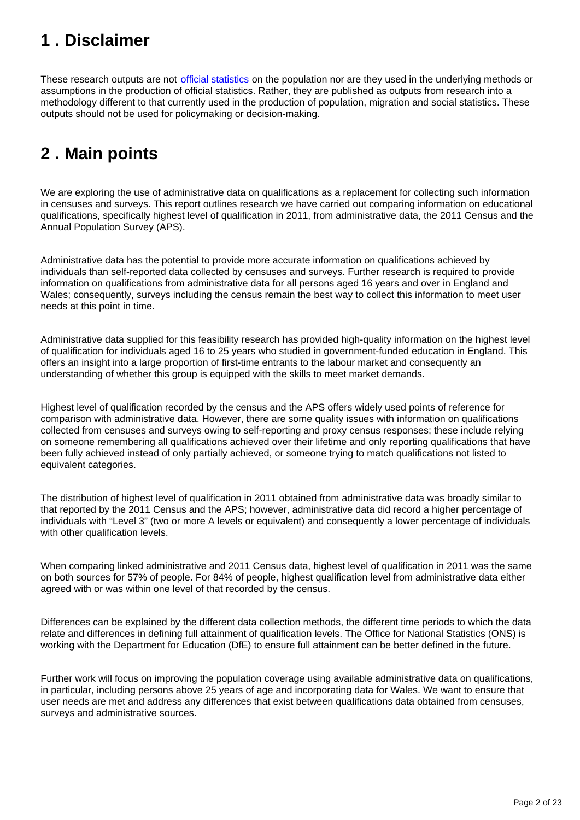## <span id="page-1-0"></span>**1 . Disclaimer**

These research outputs are not [official statistics](https://www.statisticsauthority.gov.uk/about-the-authority/uk-statistical-system/types-of-official-statistics/) on the population nor are they used in the underlying methods or assumptions in the production of official statistics. Rather, they are published as outputs from research into a methodology different to that currently used in the production of population, migration and social statistics. These outputs should not be used for policymaking or decision-making.

## <span id="page-1-1"></span>**2 . Main points**

We are exploring the use of administrative data on qualifications as a replacement for collecting such information in censuses and surveys. This report outlines research we have carried out comparing information on educational qualifications, specifically highest level of qualification in 2011, from administrative data, the 2011 Census and the Annual Population Survey (APS).

Administrative data has the potential to provide more accurate information on qualifications achieved by individuals than self-reported data collected by censuses and surveys. Further research is required to provide information on qualifications from administrative data for all persons aged 16 years and over in England and Wales; consequently, surveys including the census remain the best way to collect this information to meet user needs at this point in time.

Administrative data supplied for this feasibility research has provided high-quality information on the highest level of qualification for individuals aged 16 to 25 years who studied in government-funded education in England. This offers an insight into a large proportion of first-time entrants to the labour market and consequently an understanding of whether this group is equipped with the skills to meet market demands.

Highest level of qualification recorded by the census and the APS offers widely used points of reference for comparison with administrative data. However, there are some quality issues with information on qualifications collected from censuses and surveys owing to self-reporting and proxy census responses; these include relying on someone remembering all qualifications achieved over their lifetime and only reporting qualifications that have been fully achieved instead of only partially achieved, or someone trying to match qualifications not listed to equivalent categories.

The distribution of highest level of qualification in 2011 obtained from administrative data was broadly similar to that reported by the 2011 Census and the APS; however, administrative data did record a higher percentage of individuals with "Level 3" (two or more A levels or equivalent) and consequently a lower percentage of individuals with other qualification levels.

When comparing linked administrative and 2011 Census data, highest level of qualification in 2011 was the same on both sources for 57% of people. For 84% of people, highest qualification level from administrative data either agreed with or was within one level of that recorded by the census.

Differences can be explained by the different data collection methods, the different time periods to which the data relate and differences in defining full attainment of qualification levels. The Office for National Statistics (ONS) is working with the Department for Education (DfE) to ensure full attainment can be better defined in the future.

Further work will focus on improving the population coverage using available administrative data on qualifications, in particular, including persons above 25 years of age and incorporating data for Wales. We want to ensure that user needs are met and address any differences that exist between qualifications data obtained from censuses, surveys and administrative sources.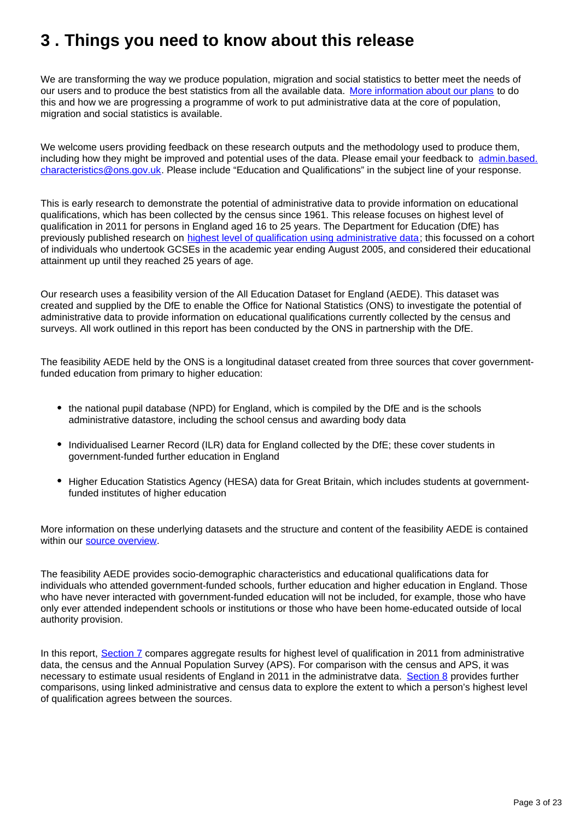## <span id="page-2-0"></span>**3 . Things you need to know about this release**

We are transforming the way we produce population, migration and social statistics to better meet the needs of our users and to produce the best statistics from all the available data. [More information about our plans](https://www.ons.gov.uk/census/censustransformationprogramme/administrativedatacensusproject) to do this and how we are progressing a programme of work to put administrative data at the core of population, migration and social statistics is available.

We welcome users providing feedback on these research outputs and the methodology used to produce them, including how they might be improved and potential uses of the data. Please email your feedback to admin.based. characteristics@ons.gov.uk. Please include "Education and Qualifications" in the subject line of your response.

This is early research to demonstrate the potential of administrative data to provide information on educational qualifications, which has been collected by the census since 1961. This release focuses on highest level of qualification in 2011 for persons in England aged 16 to 25 years. The Department for Education (DfE) has previously published research on [highest level of qualification using administrative data](https://assets.publishing.service.gov.uk/government/uploads/system/uploads/attachment_data/file/705269/Post_16_education_highest_level_of_achievement_by_age_25.pdf); this focussed on a cohort of individuals who undertook GCSEs in the academic year ending August 2005, and considered their educational attainment up until they reached 25 years of age.

Our research uses a feasibility version of the All Education Dataset for England (AEDE). This dataset was created and supplied by the DfE to enable the Office for National Statistics (ONS) to investigate the potential of administrative data to provide information on educational qualifications currently collected by the census and surveys. All work outlined in this report has been conducted by the ONS in partnership with the DfE.

The feasibility AEDE held by the ONS is a longitudinal dataset created from three sources that cover governmentfunded education from primary to higher education:

- the national pupil database (NPD) for England, which is compiled by the DfE and is the schools administrative datastore, including the school census and awarding body data
- Individualised Learner Record (ILR) data for England collected by the DfE; these cover students in government-funded further education in England
- Higher Education Statistics Agency (HESA) data for Great Britain, which includes students at governmentfunded institutes of higher education

More information on these underlying datasets and the structure and content of the feasibility AEDE is contained within our [source overview](https://www.ons.gov.uk/census/censustransformationprogramme/administrativedatacensusproject/datasourceoverviews/feasibilityalleducationdatasetforenglandaede).

The feasibility AEDE provides socio-demographic characteristics and educational qualifications data for individuals who attended government-funded schools, further education and higher education in England. Those who have never interacted with government-funded education will not be included, for example, those who have only ever attended independent schools or institutions or those who have been home-educated outside of local authority provision.

In this report, [Section 7](https://www.ons.gov.uk/peoplepopulationandcommunity/educationandchildcare/articles/adminbasedqualificationstatisticsfeasibilityresearchengland/2019-10-22#comparing-highest-level-of-qualification-in-2011-from-the-feasibility-aede-2011-census-and-aps-at-the-aggregate-level) compares aggregate results for highest level of qualification in 2011 from administrative data, the census and the Annual Population Survey (APS). For comparison with the census and APS, it was necessary to estimate usual residents of England in 2011 in the administratve data. [Section 8](https://www.ons.gov.uk/peoplepopulationandcommunity/educationandchildcare/articles/adminbasedqualificationstatisticsfeasibilityresearchengland/2019-10-22#comparing-highest-level-of-qualification-in-2011-from-the-feasibility-aede-and-2011-census-for-linked-records) provides further comparisons, using linked administrative and census data to explore the extent to which a person's highest level of qualification agrees between the sources.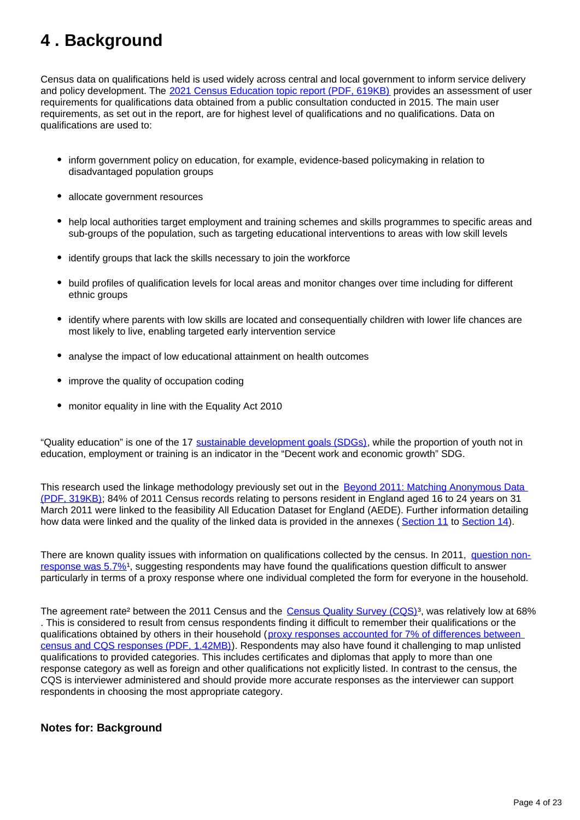## <span id="page-3-0"></span>**4 . Background**

Census data on qualifications held is used widely across central and local government to inform service delivery and policy development. The [2021 Census Education topic report \(PDF, 619KB\)](https://www.ons.gov.uk/file?uri=/census/censustransformationprogramme/consultations/the2021censusinitialviewoncontentforenglandandwales/topicreport06education.pdf) provides an assessment of user requirements for qualifications data obtained from a public consultation conducted in 2015. The main user requirements, as set out in the report, are for highest level of qualifications and no qualifications. Data on qualifications are used to:

- inform government policy on education, for example, evidence-based policymaking in relation to disadvantaged population groups
- allocate government resources
- help local authorities target employment and training schemes and skills programmes to specific areas and sub-groups of the population, such as targeting educational interventions to areas with low skill levels
- identify groups that lack the skills necessary to join the workforce
- build profiles of qualification levels for local areas and monitor changes over time including for different ethnic groups
- identify where parents with low skills are located and consequentially children with lower life chances are most likely to live, enabling targeted early intervention service
- analyse the impact of low educational attainment on health outcomes
- improve the quality of occupation coding
- monitor equality in line with the Equality Act 2010

"Quality education" is one of the 17 [sustainable development goals \(SDGs\)](https://sustainabledevelopment-uk.github.io/), while the proportion of youth not in education, employment or training is an indicator in the "Decent work and economic growth" SDG.

This research used the linkage methodology previously set out in the Beyond 2011: Matching Anonymous Data [\(PDF, 319KB\);](https://www.ons.gov.uk/ons/about-ons/who-ons-are/programmes-and-projects/beyond-2011/reports-and-publications/beyond-2011-matching-anonymous-data--m9-.pdf) 84% of 2011 Census records relating to persons resident in England aged 16 to 24 years on 31 March 2011 were linked to the feasibility All Education Dataset for England (AEDE). Further information detailing how data were linked and the quality of the linked data is provided in the annexes ( [Section 11](https://www.ons.gov.uk/peoplepopulationandcommunity/educationandchildcare/articles/adminbasedqualificationstatisticsfeasibilityresearchengland/2019-10-22#annex-1-method-used-to-link-feasibility-aede-and-2011-census-records) to [Section 14](https://www.ons.gov.uk/peoplepopulationandcommunity/educationandchildcare/articles/adminbasedqualificationstatisticsfeasibilityresearchengland/2019-10-22#annex-4-aligning-the-highest-level-of-qualification-variables-from-the-feasibility-aede-2011-census-and-aps)).

There are known quality issues with information on qualifications collected by the census. In 2011, [question non](https://webarchive.nationalarchives.gov.uk/20160115211827/http://www.ons.gov.uk/ons/guide-method/census/2011/census-data/2011-census-user-guide/quality-and-methods/quality/quality-measures/response-and-imputation-rates/index.html)[response was 5.7%](https://webarchive.nationalarchives.gov.uk/20160115211827/http://www.ons.gov.uk/ons/guide-method/census/2011/census-data/2011-census-user-guide/quality-and-methods/quality/quality-measures/response-and-imputation-rates/index.html)<sup>1</sup>, suggesting respondents may have found the qualifications question difficult to answer particularly in terms of a proxy response where one individual completed the form for everyone in the household.

The agreement rate<sup>2</sup> between the 2011 Census and the Census Quality Survey (CQS)<sup>3</sup>, was relatively low at 68% . This is considered to result from census respondents finding it difficult to remember their qualifications or the qualifications obtained by others in their household (proxy responses accounted for 7% of differences between [census and CQS responses \(PDF, 1.42MB\)\)](https://webarchive.nationalarchives.gov.uk/20160108085257/http:/www.ons.gov.uk/ons/guide-method/census/2011/census-data/2011-census-user-guide/quality-and-methods/quality/quality-measures/assessing-accuracy-of-answers/2011-census-quality-survey-report.pdf). Respondents may also have found it challenging to map unlisted qualifications to provided categories. This includes certificates and diplomas that apply to more than one response category as well as foreign and other qualifications not explicitly listed. In contrast to the census, the CQS is interviewer administered and should provide more accurate responses as the interviewer can support respondents in choosing the most appropriate category.

#### **Notes for: Background**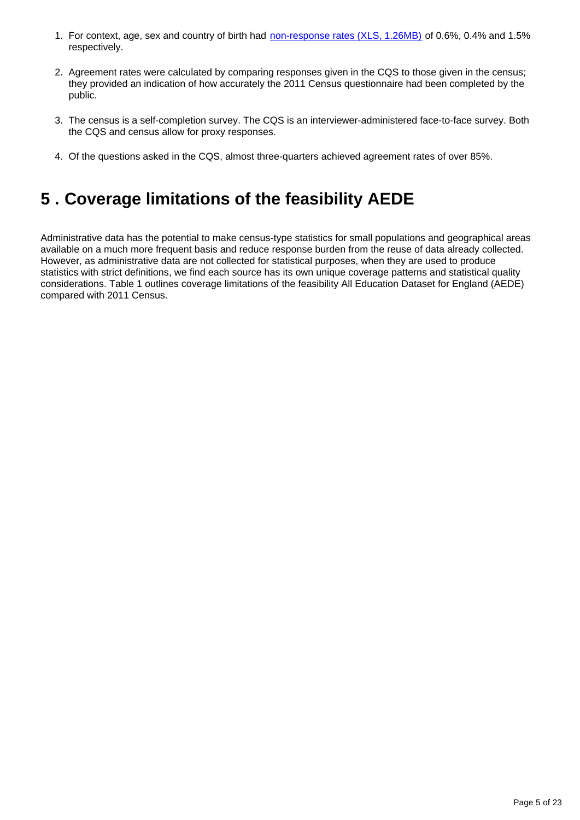- 1. For context, age, sex and country of birth had [non-response rates \(XLS, 1.26MB\)](https://webarchive.nationalarchives.gov.uk/20180903191659/https:/www.ons.gov.uk/ons/guide-method/census/2011/census-data/2011-census-user-guide/quality-and-methods/quality/quality-measures/response-and-imputation-rates/item-non-response--editing-and-imputation-rates.xls) of 0.6%, 0.4% and 1.5% respectively.
- 2. Agreement rates were calculated by comparing responses given in the CQS to those given in the census; they provided an indication of how accurately the 2011 Census questionnaire had been completed by the public.
- 3. The census is a self-completion survey. The CQS is an interviewer-administered face-to-face survey. Both the CQS and census allow for proxy responses.
- 4. Of the questions asked in the CQS, almost three-quarters achieved agreement rates of over 85%.

## <span id="page-4-0"></span>**5 . Coverage limitations of the feasibility AEDE**

Administrative data has the potential to make census-type statistics for small populations and geographical areas available on a much more frequent basis and reduce response burden from the reuse of data already collected. However, as administrative data are not collected for statistical purposes, when they are used to produce statistics with strict definitions, we find each source has its own unique coverage patterns and statistical quality considerations. Table 1 outlines coverage limitations of the feasibility All Education Dataset for England (AEDE) compared with 2011 Census.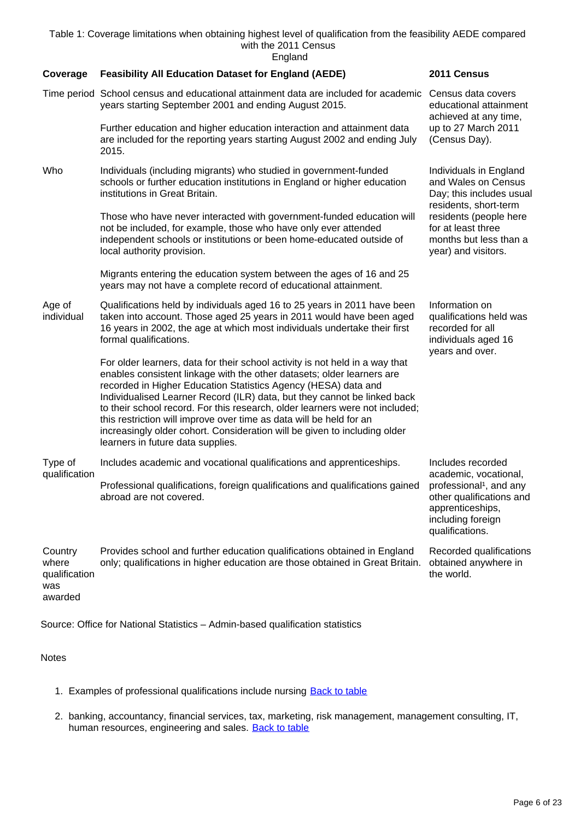Table 1: Coverage limitations when obtaining highest level of qualification from the feasibility AEDE compared with the 2011 Census England

**Coverage Feasibility All Education Dataset for England (AEDE) 2011 Census** Time period School census and educational attainment data are included for academic Census data covers years starting September 2001 and ending August 2015. Further education and higher education interaction and attainment data are included for the reporting years starting August 2002 and ending July 2015. educational attainment achieved at any time, up to 27 March 2011 (Census Day). Who Individuals (including migrants) who studied in government-funded schools or further education institutions in England or higher education institutions in Great Britain. Those who have never interacted with government-funded education will not be included, for example, those who have only ever attended independent schools or institutions or been home-educated outside of local authority provision. Migrants entering the education system between the ages of 16 and 25 years may not have a complete record of educational attainment. Individuals in England and Wales on Census Day; this includes usual residents, short-term residents (people here for at least three months but less than a year) and visitors. Age of individual Qualifications held by individuals aged 16 to 25 years in 2011 have been taken into account. Those aged 25 years in 2011 would have been aged 16 years in 2002, the age at which most individuals undertake their first formal qualifications. For older learners, data for their school activity is not held in a way that enables consistent linkage with the other datasets; older learners are recorded in Higher Education Statistics Agency (HESA) data and Individualised Learner Record (ILR) data, but they cannot be linked back to their school record. For this research, older learners were not included; this restriction will improve over time as data will be held for an increasingly older cohort. Consideration will be given to including older learners in future data supplies. Information on qualifications held was recorded for all individuals aged 16 years and over. Type of qualification Includes academic and vocational qualifications and apprenticeships. Professional qualifications, foreign qualifications and qualifications gained abroad are not covered. Includes recorded academic, vocational, professional<sup>1</sup>, and any other qualifications and apprenticeships, including foreign qualifications. **Country** where qualification was awarded Provides school and further education qualifications obtained in England only; qualifications in higher education are those obtained in Great Britain. Recorded qualifications obtained anywhere in the world.

Source: Office for National Statistics – Admin-based qualification statistics

#### **Notes**

- 1. Examples of professional qualifications include nursing **[Back to table](#page-0-0)**
- 2. banking, accountancy, financial services, tax, marketing, risk management, management consulting, IT, human resources, engineering and sales. **[Back to table](#page-0-0)**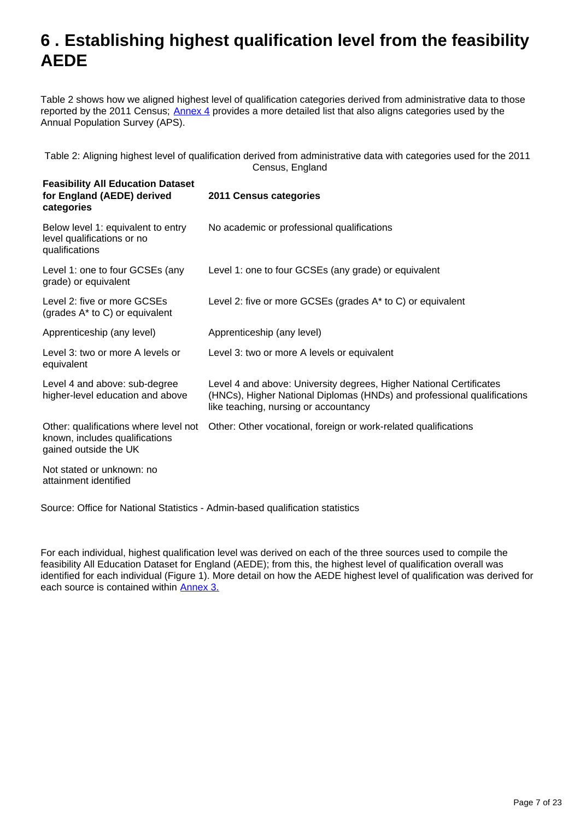## <span id="page-6-0"></span>**6 . Establishing highest qualification level from the feasibility AEDE**

Table 2 shows how we aligned highest level of qualification categories derived from administrative data to those reported by the 2011 Census; [Annex 4](https://www.ons.gov.uk/peoplepopulationandcommunity/educationandchildcare/articles/adminbasedqualificationstatisticsfeasibilityresearchengland/2019-10-22#annex-4-aligning-the-highest-level-of-qualification-variables-from-the-feasibility-aede-2011-census-and-aps) provides a more detailed list that also aligns categories used by the Annual Population Survey (APS).

Table 2: Aligning highest level of qualification derived from administrative data with categories used for the 2011 Census, England

| <b>Feasibility All Education Dataset</b><br>for England (AEDE) derived<br>categories             | 2011 Census categories                                                                                                                                                                  |
|--------------------------------------------------------------------------------------------------|-----------------------------------------------------------------------------------------------------------------------------------------------------------------------------------------|
| Below level 1: equivalent to entry<br>level qualifications or no<br>qualifications               | No academic or professional qualifications                                                                                                                                              |
| Level 1: one to four GCSEs (any<br>grade) or equivalent                                          | Level 1: one to four GCSEs (any grade) or equivalent                                                                                                                                    |
| Level 2: five or more GCSEs<br>(grades A* to C) or equivalent                                    | Level 2: five or more GCSEs (grades $A^*$ to C) or equivalent                                                                                                                           |
| Apprenticeship (any level)                                                                       | Apprenticeship (any level)                                                                                                                                                              |
| Level 3: two or more A levels or<br>equivalent                                                   | Level 3: two or more A levels or equivalent                                                                                                                                             |
| Level 4 and above: sub-degree<br>higher-level education and above                                | Level 4 and above: University degrees, Higher National Certificates<br>(HNCs), Higher National Diplomas (HNDs) and professional qualifications<br>like teaching, nursing or accountancy |
| Other: qualifications where level not<br>known, includes qualifications<br>gained outside the UK | Other: Other vocational, foreign or work-related qualifications                                                                                                                         |
| Not stated or unknown: no<br>attainment identified                                               |                                                                                                                                                                                         |

Source: Office for National Statistics - Admin-based qualification statistics

For each individual, highest qualification level was derived on each of the three sources used to compile the feasibility All Education Dataset for England (AEDE); from this, the highest level of qualification overall was identified for each individual (Figure 1). More detail on how the AEDE highest level of qualification was derived for each source is contained within [Annex 3.](https://www.ons.gov.uk/peoplepopulationandcommunity/educationandchildcare/articles/adminbasedqualificationstatisticsfeasibilityresearchengland/2019-10-22#annex-3-deriving-highest-qualification-level-for-each-data-source-on-feasibility-aede)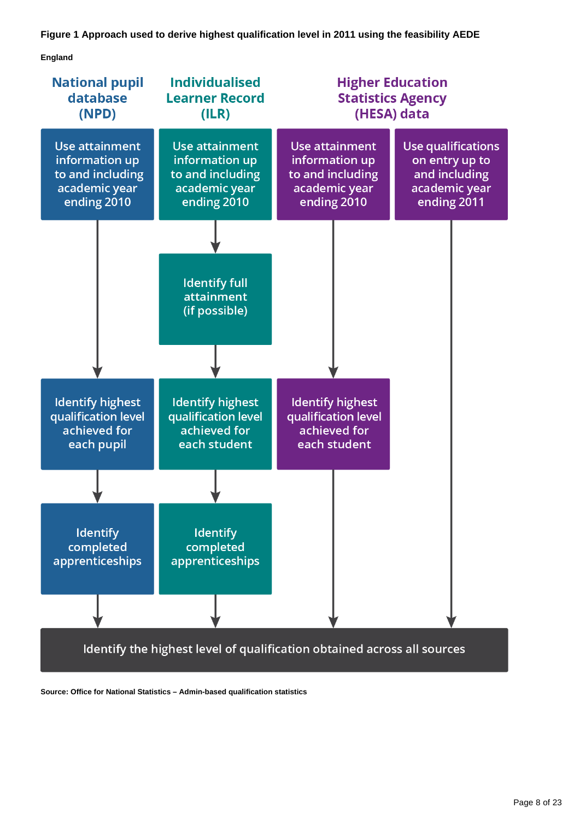#### **Figure 1 Approach used to derive highest qualification level in 2011 using the feasibility AEDE**

**England**



**Source: Office for National Statistics – Admin-based qualification statistics**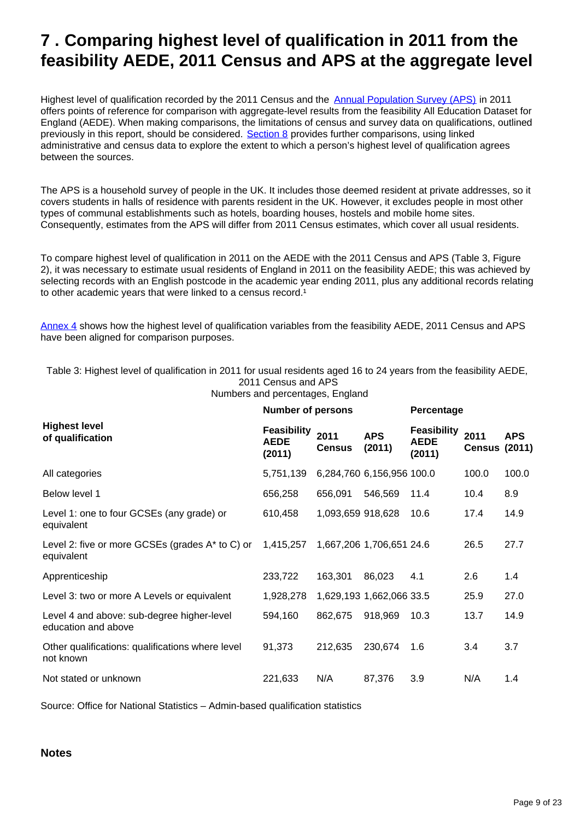## <span id="page-8-0"></span>**7 . Comparing highest level of qualification in 2011 from the feasibility AEDE, 2011 Census and APS at the aggregate level**

Highest level of qualification recorded by the 2011 Census and the **[Annual Population Survey \(APS\)](https://www.ons.gov.uk/employmentandlabourmarket/peopleinwork/employmentandemployeetypes/methodologies/annualpopulationsurveyapsqmi)** in 2011 offers points of reference for comparison with aggregate-level results from the feasibility All Education Dataset for England (AEDE). When making comparisons, the limitations of census and survey data on qualifications, outlined previously in this report, should be considered. [Section 8](https://www.ons.gov.uk/peoplepopulationandcommunity/educationandchildcare/articles/adminbasedqualificationstatisticsfeasibilityresearchengland/2019-10-22#comparing-highest-level-of-qualification-in-2011-from-the-feasibility-aede-and-2011-census-for-linked-records) provides further comparisons, using linked administrative and census data to explore the extent to which a person's highest level of qualification agrees between the sources.

The APS is a household survey of people in the UK. It includes those deemed resident at private addresses, so it covers students in halls of residence with parents resident in the UK. However, it excludes people in most other types of communal establishments such as hotels, boarding houses, hostels and mobile home sites. Consequently, estimates from the APS will differ from 2011 Census estimates, which cover all usual residents.

To compare highest level of qualification in 2011 on the AEDE with the 2011 Census and APS (Table 3, Figure 2), it was necessary to estimate usual residents of England in 2011 on the feasibility AEDE; this was achieved by selecting records with an English postcode in the academic year ending 2011, plus any additional records relating to other academic years that were linked to a census record.<sup>1</sup>

[Annex 4](https://www.ons.gov.uk/peoplepopulationandcommunity/educationandchildcare/articles/adminbasedqualificationstatisticsfeasibilityresearchengland/2019-10-22#annex-4-aligning-the-highest-level-of-qualification-variables-from-the-feasibility-aede-2011-census-and-aps) shows how the highest level of qualification variables from the feasibility AEDE, 2011 Census and APS have been aligned for comparison purposes.

Table 3: Highest level of qualification in 2011 for usual residents aged 16 to 24 years from the feasibility AEDE, 2011 Census and APS

|                                                                   | <b>Number of persons</b>                    |                       | Percentage                |                                             |                              |            |
|-------------------------------------------------------------------|---------------------------------------------|-----------------------|---------------------------|---------------------------------------------|------------------------------|------------|
| <b>Highest level</b><br>of qualification                          | <b>Feasibility</b><br><b>AEDE</b><br>(2011) | 2011<br><b>Census</b> | <b>APS</b><br>(2011)      | <b>Feasibility</b><br><b>AEDE</b><br>(2011) | 2011<br><b>Census (2011)</b> | <b>APS</b> |
| All categories                                                    | 5,751,139                                   |                       | 6,284,760 6,156,956 100.0 |                                             | 100.0                        | 100.0      |
| Below level 1                                                     | 656,258                                     | 656,091               | 546,569                   | 11.4                                        | 10.4                         | 8.9        |
| Level 1: one to four GCSEs (any grade) or<br>equivalent           | 610,458                                     | 1,093,659 918,628     |                           | 10.6                                        | 17.4                         | 14.9       |
| Level 2: five or more GCSEs (grades $A^*$ to C) or<br>equivalent  | 1,415,257                                   |                       | 1,667,206 1,706,651 24.6  |                                             | 26.5                         | 27.7       |
| Apprenticeship                                                    | 233,722                                     | 163,301               | 86,023                    | 4.1                                         | 2.6                          | 1.4        |
| Level 3: two or more A Levels or equivalent                       | 1,928,278                                   |                       | 1,629,193 1,662,066 33.5  |                                             | 25.9                         | 27.0       |
| Level 4 and above: sub-degree higher-level<br>education and above | 594,160                                     | 862,675               | 918,969                   | 10.3                                        | 13.7                         | 14.9       |
| Other qualifications: qualifications where level<br>not known     | 91,373                                      | 212,635               | 230,674                   | 1.6                                         | 3.4                          | 3.7        |
| Not stated or unknown                                             | 221,633                                     | N/A                   | 87,376                    | 3.9                                         | N/A                          | 1.4        |

Source: Office for National Statistics – Admin-based qualification statistics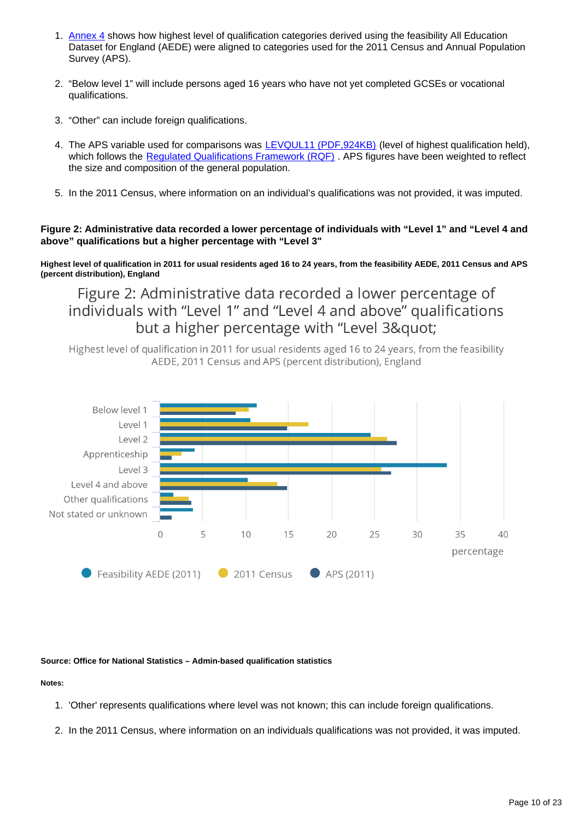- 1. [Annex 4](https://publishing.ons.gov.uk/peoplepopulationandcommunity/educationandchildcare/articles/adminbasedqualificationstatisticsfeasibilityresearchengland/2019-10-22#annex-4-aligning-the-highest-level-of-qualification-variables-from-the-feasibility-aede-2011-census-and-aps) shows how highest level of qualification categories derived using the feasibility All Education Dataset for England (AEDE) were aligned to categories used for the 2011 Census and Annual Population Survey (APS).
- 2. "Below level 1" will include persons aged 16 years who have not yet completed GCSEs or vocational qualifications.
- 3. "Other" can include foreign qualifications.
- 4. The APS variable used for comparisons was [LEVQUL11 \(PDF,924KB\)](http://www.ons.gov.uk/ons/guide-method/method-quality/specific/labour-market/labour-market-statistics/volume-3---2011.pdf) (level of highest qualification held), which follows the Regulated Qualifications Framework (RQF). APS figures have been weighted to reflect the size and composition of the general population.
- 5. In the 2011 Census, where information on an individual's qualifications was not provided, it was imputed.

#### **Figure 2: Administrative data recorded a lower percentage of individuals with "Level 1" and "Level 4 and above" qualifications but a higher percentage with "Level 3"**

**Highest level of qualification in 2011 for usual residents aged 16 to 24 years, from the feasibility AEDE, 2011 Census and APS (percent distribution), England**

Figure 2: Administrative data recorded a lower percentage of individuals with "Level 1" and "Level 4 and above" qualifications but a higher percentage with "Level 3"

Highest level of qualification in 2011 for usual residents aged 16 to 24 years, from the feasibility AEDE, 2011 Census and APS (percent distribution), England



#### **Source: Office for National Statistics – Admin-based qualification statistics**

#### **Notes:**

- 1. 'Other' represents qualifications where level was not known; this can include foreign qualifications.
- 2. In the 2011 Census, where information on an individuals qualifications was not provided, it was imputed.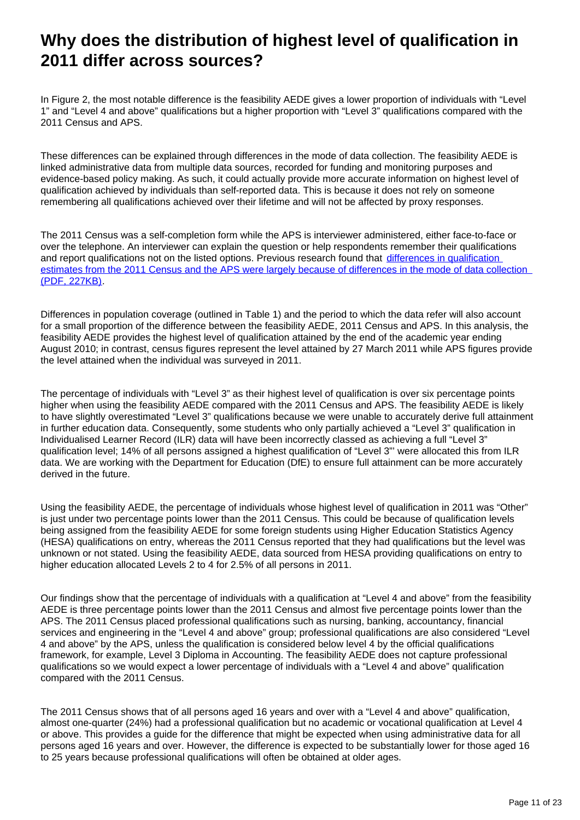## **Why does the distribution of highest level of qualification in 2011 differ across sources?**

In Figure 2, the most notable difference is the feasibility AEDE gives a lower proportion of individuals with "Level 1" and "Level 4 and above" qualifications but a higher proportion with "Level 3" qualifications compared with the 2011 Census and APS.

These differences can be explained through differences in the mode of data collection. The feasibility AEDE is linked administrative data from multiple data sources, recorded for funding and monitoring purposes and evidence-based policy making. As such, it could actually provide more accurate information on highest level of qualification achieved by individuals than self-reported data. This is because it does not rely on someone remembering all qualifications achieved over their lifetime and will not be affected by proxy responses.

The 2011 Census was a self-completion form while the APS is interviewer administered, either face-to-face or over the telephone. An interviewer can explain the question or help respondents remember their qualifications and report qualifications not on the listed options. Previous research found that differences in qualification estimates from the 2011 Census and the APS were largely because of differences in the mode of data collection [\(PDF, 227KB\).](https://www.ons.gov.uk/ons/guide-method/census/analysis/labour-market--housing-and-qualifications/qualifications.pdf)

Differences in population coverage (outlined in Table 1) and the period to which the data refer will also account for a small proportion of the difference between the feasibility AEDE, 2011 Census and APS. In this analysis, the feasibility AEDE provides the highest level of qualification attained by the end of the academic year ending August 2010; in contrast, census figures represent the level attained by 27 March 2011 while APS figures provide the level attained when the individual was surveyed in 2011.

The percentage of individuals with "Level 3" as their highest level of qualification is over six percentage points higher when using the feasibility AEDE compared with the 2011 Census and APS. The feasibility AEDE is likely to have slightly overestimated "Level 3" qualifications because we were unable to accurately derive full attainment in further education data. Consequently, some students who only partially achieved a "Level 3" qualification in Individualised Learner Record (ILR) data will have been incorrectly classed as achieving a full "Level 3" qualification level; 14% of all persons assigned a highest qualification of "Level 3"' were allocated this from ILR data. We are working with the Department for Education (DfE) to ensure full attainment can be more accurately derived in the future.

Using the feasibility AEDE, the percentage of individuals whose highest level of qualification in 2011 was "Other" is just under two percentage points lower than the 2011 Census. This could be because of qualification levels being assigned from the feasibility AEDE for some foreign students using Higher Education Statistics Agency (HESA) qualifications on entry, whereas the 2011 Census reported that they had qualifications but the level was unknown or not stated. Using the feasibility AEDE, data sourced from HESA providing qualifications on entry to higher education allocated Levels 2 to 4 for 2.5% of all persons in 2011.

Our findings show that the percentage of individuals with a qualification at "Level 4 and above" from the feasibility AEDE is three percentage points lower than the 2011 Census and almost five percentage points lower than the APS. The 2011 Census placed professional qualifications such as nursing, banking, accountancy, financial services and engineering in the "Level 4 and above" group; professional qualifications are also considered "Level 4 and above" by the APS, unless the qualification is considered below level 4 by the official qualifications framework, for example, Level 3 Diploma in Accounting. The feasibility AEDE does not capture professional qualifications so we would expect a lower percentage of individuals with a "Level 4 and above" qualification compared with the 2011 Census.

The 2011 Census shows that of all persons aged 16 years and over with a "Level 4 and above" qualification, almost one-quarter (24%) had a professional qualification but no academic or vocational qualification at Level 4 or above. This provides a guide for the difference that might be expected when using administrative data for all persons aged 16 years and over. However, the difference is expected to be substantially lower for those aged 16 to 25 years because professional qualifications will often be obtained at older ages.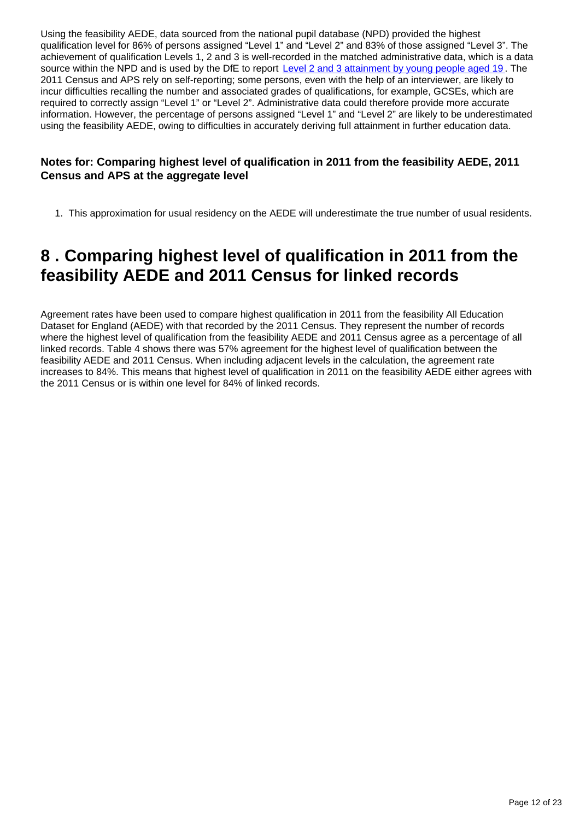Using the feasibility AEDE, data sourced from the national pupil database (NPD) provided the highest qualification level for 86% of persons assigned "Level 1" and "Level 2" and 83% of those assigned "Level 3". The achievement of qualification Levels 1, 2 and 3 is well-recorded in the matched administrative data, which is a data source within the NPD and is used by the DfE to report [Level 2 and 3 attainment by young people aged 19](https://www.gov.uk/government/statistics/level-2-and-3-attainment-by-young-people-aged-19-in-2018). The 2011 Census and APS rely on self-reporting; some persons, even with the help of an interviewer, are likely to incur difficulties recalling the number and associated grades of qualifications, for example, GCSEs, which are required to correctly assign "Level 1" or "Level 2". Administrative data could therefore provide more accurate information. However, the percentage of persons assigned "Level 1" and "Level 2" are likely to be underestimated using the feasibility AEDE, owing to difficulties in accurately deriving full attainment in further education data.

#### **Notes for: Comparing highest level of qualification in 2011 from the feasibility AEDE, 2011 Census and APS at the aggregate level**

1. This approximation for usual residency on the AEDE will underestimate the true number of usual residents.

## <span id="page-11-0"></span>**8 . Comparing highest level of qualification in 2011 from the feasibility AEDE and 2011 Census for linked records**

Agreement rates have been used to compare highest qualification in 2011 from the feasibility All Education Dataset for England (AEDE) with that recorded by the 2011 Census. They represent the number of records where the highest level of qualification from the feasibility AEDE and 2011 Census agree as a percentage of all linked records. Table 4 shows there was 57% agreement for the highest level of qualification between the feasibility AEDE and 2011 Census. When including adjacent levels in the calculation, the agreement rate increases to 84%. This means that highest level of qualification in 2011 on the feasibility AEDE either agrees with the 2011 Census or is within one level for 84% of linked records.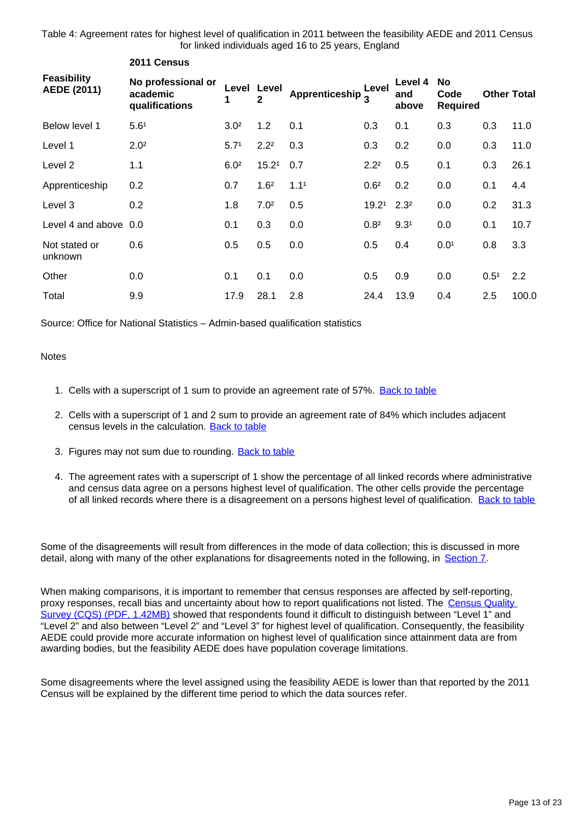Table 4: Agreement rates for highest level of qualification in 2011 between the feasibility AEDE and 2011 Census for linked individuals aged 16 to 25 years, England

|                                          | ZUTT Census                                      |                  |                   |                              |                   |                         |                                      |                  |                    |  |
|------------------------------------------|--------------------------------------------------|------------------|-------------------|------------------------------|-------------------|-------------------------|--------------------------------------|------------------|--------------------|--|
| <b>Feasibility</b><br><b>AEDE (2011)</b> | No professional or<br>academic<br>qualifications |                  | Level Level<br>2  | Apprenticeship $\frac{L}{3}$ | Level             | Level 4<br>and<br>above | <b>No</b><br>Code<br><b>Required</b> |                  | <b>Other Total</b> |  |
| Below level 1                            | 5.6 <sup>1</sup>                                 | 3.0 <sup>2</sup> | 1.2               | 0.1                          | 0.3               | 0.1                     | 0.3                                  | 0.3              | 11.0               |  |
| Level 1                                  | 2.0 <sup>2</sup>                                 | 5.7 <sup>1</sup> | 2.2 <sup>2</sup>  | 0.3                          | 0.3               | 0.2                     | 0.0                                  | 0.3              | 11.0               |  |
| Level 2                                  | 1.1                                              | 6.0 <sup>2</sup> | 15.2 <sup>1</sup> | 0.7                          | 2.2 <sup>2</sup>  | 0.5                     | 0.1                                  | 0.3              | 26.1               |  |
| Apprenticeship                           | 0.2                                              | 0.7              | 1.6 <sup>2</sup>  | 1.1 <sup>1</sup>             | 0.6 <sup>2</sup>  | 0.2                     | 0.0                                  | 0.1              | 4.4                |  |
| Level 3                                  | 0.2                                              | 1.8              | 7.0 <sup>2</sup>  | 0.5                          | 19.2 <sup>1</sup> | 2.3 <sup>2</sup>        | 0.0                                  | 0.2              | 31.3               |  |
| Level 4 and above                        | 0.0                                              | 0.1              | 0.3               | 0.0                          | 0.8 <sup>2</sup>  | 9.3 <sup>1</sup>        | 0.0                                  | 0.1              | 10.7               |  |
| Not stated or<br>unknown                 | 0.6                                              | 0.5              | 0.5               | 0.0                          | 0.5               | 0.4                     | 0.01                                 | 0.8              | 3.3                |  |
| Other                                    | 0.0                                              | 0.1              | 0.1               | 0.0                          | 0.5               | 0.9                     | 0.0                                  | 0.5 <sup>1</sup> | 2.2                |  |
| Total                                    | 9.9                                              | 17.9             | 28.1              | 2.8                          | 24.4              | 13.9                    | 0.4                                  | 2.5              | 100.0              |  |

Source: Office for National Statistics – Admin-based qualification statistics

#### Notes

- 1. Cells with a superscript of 1 sum to provide an agreement rate of 57%. [Back to table](#page-0-0)
- 2. Cells with a superscript of 1 and 2 sum to provide an agreement rate of 84% which includes adjacent census levels in the calculation. [Back to table](#page-0-0)
- 3. Figures may not sum due to rounding. **[Back to table](#page-0-0)**

**2011 Census**

4. The agreement rates with a superscript of 1 show the percentage of all linked records where administrative and census data agree on a persons highest level of qualification. The other cells provide the percentage of all linked records where there is a disagreement on a persons highest level of qualification. [Back to table](#page-0-0)

Some of the disagreements will result from differences in the mode of data collection; this is discussed in more detail, along with many of the other explanations for disagreements noted in the following, in [Section 7.](https://publishing.ons.gov.uk/peoplepopulationandcommunity/educationandchildcare/articles/adminbasedqualificationstatisticsfeasibilityresearchengland/2019-10-22#comparing-highest-level-of-qualification-in-2011-from-the-feasibility-aede-2011-census-and-aps-at-the-aggregate-level)

When making comparisons, it is important to remember that census responses are affected by self-reporting, proxy responses, recall bias and uncertainty about how to report qualifications not listed. The Census Quality [Survey \(CQS\) \(PDF, 1.42MB\)](https://webarchive.nationalarchives.gov.uk/20160112034634/http:/www.ons.gov.uk/ons/guide-method/census/2011/census-data/2011-census-user-guide/quality-and-methods/quality/quality-measures/assessing-accuracy-of-answers/2011-census-quality-survey-report.pdf) showed that respondents found it difficult to distinguish between "Level 1" and "Level 2" and also between "Level 2" and "Level 3" for highest level of qualification. Consequently, the feasibility AEDE could provide more accurate information on highest level of qualification since attainment data are from awarding bodies, but the feasibility AEDE does have population coverage limitations.

Some disagreements where the level assigned using the feasibility AEDE is lower than that reported by the 2011 Census will be explained by the different time period to which the data sources refer.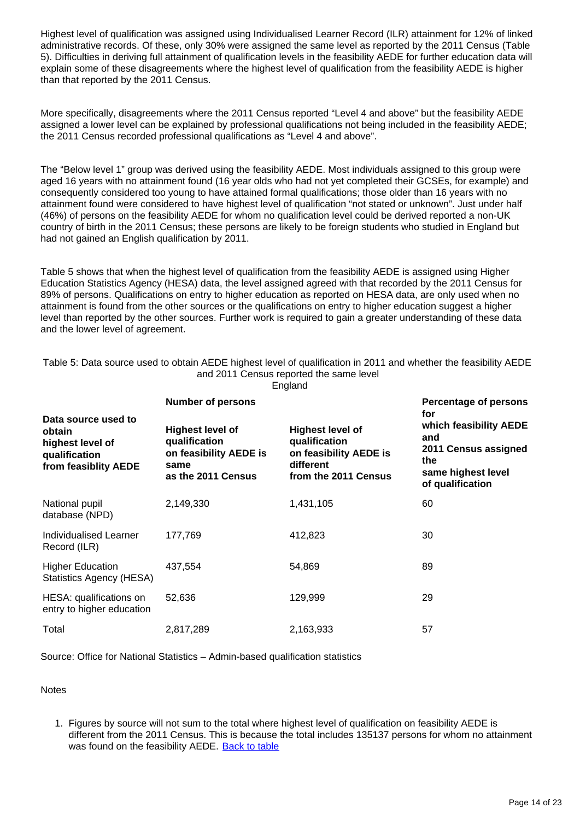Highest level of qualification was assigned using Individualised Learner Record (ILR) attainment for 12% of linked administrative records. Of these, only 30% were assigned the same level as reported by the 2011 Census (Table 5). Difficulties in deriving full attainment of qualification levels in the feasibility AEDE for further education data will explain some of these disagreements where the highest level of qualification from the feasibility AEDE is higher than that reported by the 2011 Census.

More specifically, disagreements where the 2011 Census reported "Level 4 and above" but the feasibility AEDE assigned a lower level can be explained by professional qualifications not being included in the feasibility AEDE; the 2011 Census recorded professional qualifications as "Level 4 and above".

The "Below level 1" group was derived using the feasibility AEDE. Most individuals assigned to this group were aged 16 years with no attainment found (16 year olds who had not yet completed their GCSEs, for example) and consequently considered too young to have attained formal qualifications; those older than 16 years with no attainment found were considered to have highest level of qualification "not stated or unknown". Just under half (46%) of persons on the feasibility AEDE for whom no qualification level could be derived reported a non-UK country of birth in the 2011 Census; these persons are likely to be foreign students who studied in England but had not gained an English qualification by 2011.

Table 5 shows that when the highest level of qualification from the feasibility AEDE is assigned using Higher Education Statistics Agency (HESA) data, the level assigned agreed with that recorded by the 2011 Census for 89% of persons. Qualifications on entry to higher education as reported on HESA data, are only used when no attainment is found from the other sources or the qualifications on entry to higher education suggest a higher level than reported by the other sources. Further work is required to gain a greater understanding of these data and the lower level of agreement.

| Table 5: Data source used to obtain AEDE highest level of qualification in 2011 and whether the feasibility AEDE |
|------------------------------------------------------------------------------------------------------------------|
| and 2011 Census reported the same level                                                                          |
| England                                                                                                          |

**Data source used to obtain highest level of qualification from feasiblity AEDE Number of persons Percentage of persons for which feasibility AEDE and 2011 Census assigned the same highest level of qualification Highest level of qualification on feasibility AEDE is same as the 2011 Census Highest level of qualification on feasibility AEDE is different from the 2011 Census** National pupil database (NPD) 2,149,330 1,431,105 60 Individualised Learner Record (ILR) 177,769 412,823 30 **Higher Education** Statistics Agency (HESA) 437,554 54,869 89 HESA: qualifications on entry to higher education 52,636 129,999 29 Total 2,817,289 2,163,933 57

Source: Office for National Statistics – Admin-based qualification statistics

**Notes** 

1. Figures by source will not sum to the total where highest level of qualification on feasibility AEDE is different from the 2011 Census. This is because the total includes 135137 persons for whom no attainment was found on the feasibility AEDE. [Back to table](#page-0-0)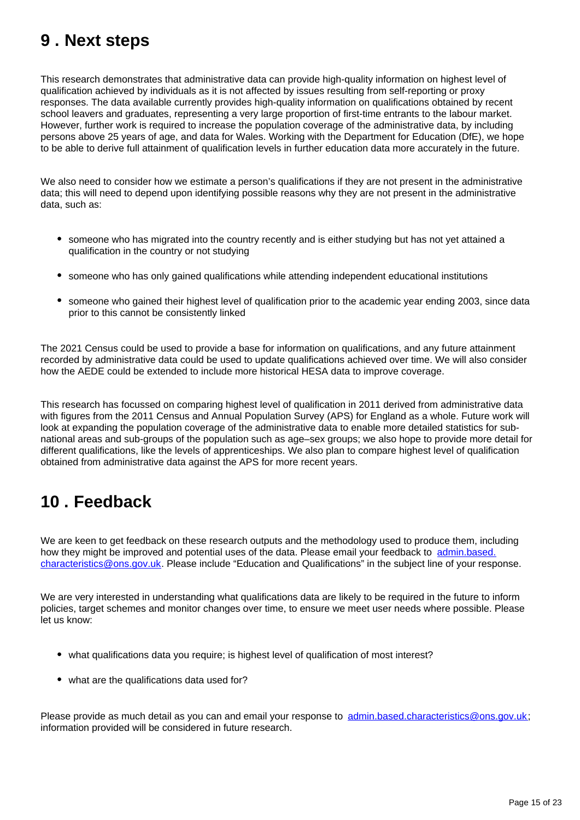### <span id="page-14-0"></span>**9 . Next steps**

This research demonstrates that administrative data can provide high-quality information on highest level of qualification achieved by individuals as it is not affected by issues resulting from self-reporting or proxy responses. The data available currently provides high-quality information on qualifications obtained by recent school leavers and graduates, representing a very large proportion of first-time entrants to the labour market. However, further work is required to increase the population coverage of the administrative data, by including persons above 25 years of age, and data for Wales. Working with the Department for Education (DfE), we hope to be able to derive full attainment of qualification levels in further education data more accurately in the future.

We also need to consider how we estimate a person's qualifications if they are not present in the administrative data; this will need to depend upon identifying possible reasons why they are not present in the administrative data, such as:

- someone who has migrated into the country recently and is either studying but has not yet attained a qualification in the country or not studying
- someone who has only gained qualifications while attending independent educational institutions
- someone who gained their highest level of qualification prior to the academic year ending 2003, since data prior to this cannot be consistently linked

The 2021 Census could be used to provide a base for information on qualifications, and any future attainment recorded by administrative data could be used to update qualifications achieved over time. We will also consider how the AEDE could be extended to include more historical HESA data to improve coverage.

This research has focussed on comparing highest level of qualification in 2011 derived from administrative data with figures from the 2011 Census and Annual Population Survey (APS) for England as a whole. Future work will look at expanding the population coverage of the administrative data to enable more detailed statistics for subnational areas and sub-groups of the population such as age–sex groups; we also hope to provide more detail for different qualifications, like the levels of apprenticeships. We also plan to compare highest level of qualification obtained from administrative data against the APS for more recent years.

## <span id="page-14-1"></span>**10 . Feedback**

We are keen to get feedback on these research outputs and the methodology used to produce them, including how they might be improved and potential uses of the data. Please email your feedback to admin.based. characteristics@ons.gov.uk. Please include "Education and Qualifications" in the subject line of your response.

We are very interested in understanding what qualifications data are likely to be required in the future to inform policies, target schemes and monitor changes over time, to ensure we meet user needs where possible. Please let us know:

- what qualifications data you require; is highest level of qualification of most interest?
- what are the qualifications data used for?

Please provide as much detail as you can and email your response to admin.based.characteristics@ons.gov.uk; information provided will be considered in future research.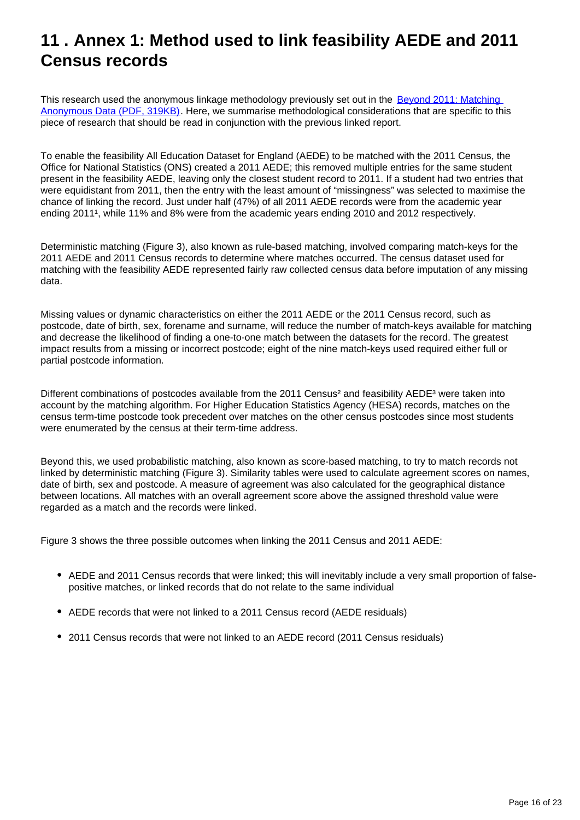## <span id="page-15-0"></span>**11 . Annex 1: Method used to link feasibility AEDE and 2011 Census records**

This research used the anonymous linkage methodology previously set out in the **Beyond 2011: Matching** [Anonymous Data \(PDF, 319KB\)](https://www.ons.gov.uk/ons/about-ons/who-ons-are/programmes-and-projects/beyond-2011/reports-and-publications/beyond-2011-matching-anonymous-data--m9-.pdf). Here, we summarise methodological considerations that are specific to this piece of research that should be read in conjunction with the previous linked report.

To enable the feasibility All Education Dataset for England (AEDE) to be matched with the 2011 Census, the Office for National Statistics (ONS) created a 2011 AEDE; this removed multiple entries for the same student present in the feasibility AEDE, leaving only the closest student record to 2011. If a student had two entries that were equidistant from 2011, then the entry with the least amount of "missingness" was selected to maximise the chance of linking the record. Just under half (47%) of all 2011 AEDE records were from the academic year ending 2011<sup>1</sup>, while 11% and 8% were from the academic years ending 2010 and 2012 respectively.

Deterministic matching (Figure 3), also known as rule-based matching, involved comparing match-keys for the 2011 AEDE and 2011 Census records to determine where matches occurred. The census dataset used for matching with the feasibility AEDE represented fairly raw collected census data before imputation of any missing data.

Missing values or dynamic characteristics on either the 2011 AEDE or the 2011 Census record, such as postcode, date of birth, sex, forename and surname, will reduce the number of match-keys available for matching and decrease the likelihood of finding a one-to-one match between the datasets for the record. The greatest impact results from a missing or incorrect postcode; eight of the nine match-keys used required either full or partial postcode information.

Different combinations of postcodes available from the 2011 Census<sup>2</sup> and feasibility AEDE<sup>3</sup> were taken into account by the matching algorithm. For Higher Education Statistics Agency (HESA) records, matches on the census term-time postcode took precedent over matches on the other census postcodes since most students were enumerated by the census at their term-time address.

Beyond this, we used probabilistic matching, also known as score-based matching, to try to match records not linked by deterministic matching (Figure 3). Similarity tables were used to calculate agreement scores on names, date of birth, sex and postcode. A measure of agreement was also calculated for the geographical distance between locations. All matches with an overall agreement score above the assigned threshold value were regarded as a match and the records were linked.

Figure 3 shows the three possible outcomes when linking the 2011 Census and 2011 AEDE:

- AEDE and 2011 Census records that were linked; this will inevitably include a very small proportion of falsepositive matches, or linked records that do not relate to the same individual
- AEDE records that were not linked to a 2011 Census record (AEDE residuals)
- 2011 Census records that were not linked to an AEDE record (2011 Census residuals)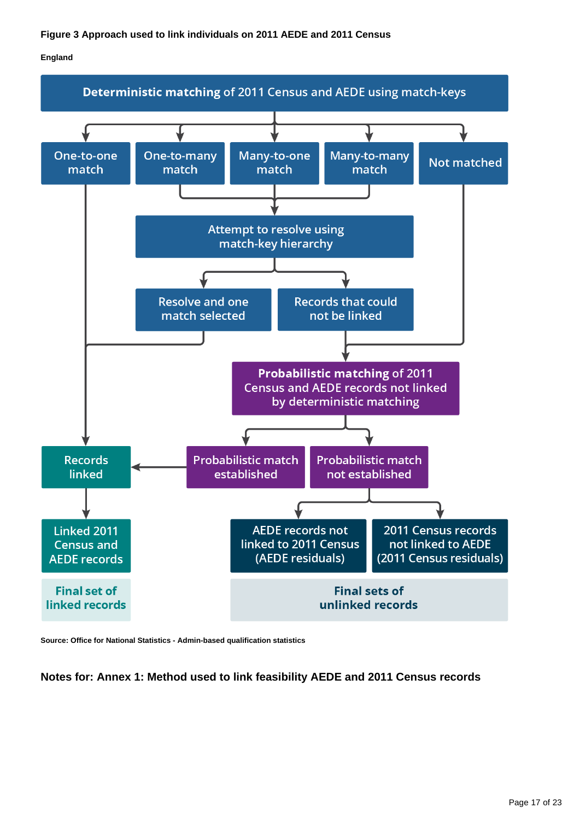#### **England**



**Source: Office for National Statistics - Admin-based qualification statistics**

**Notes for: Annex 1: Method used to link feasibility AEDE and 2011 Census records**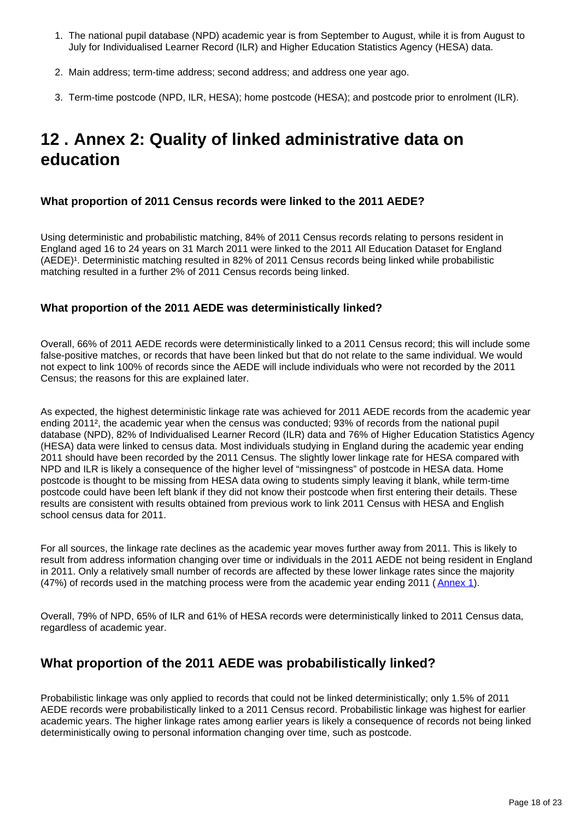- 1. The national pupil database (NPD) academic year is from September to August, while it is from August to July for Individualised Learner Record (ILR) and Higher Education Statistics Agency (HESA) data.
- 2. Main address; term-time address; second address; and address one year ago.
- 3. Term-time postcode (NPD, ILR, HESA); home postcode (HESA); and postcode prior to enrolment (ILR).

## <span id="page-17-0"></span>**12 . Annex 2: Quality of linked administrative data on education**

#### **What proportion of 2011 Census records were linked to the 2011 AEDE?**

Using deterministic and probabilistic matching, 84% of 2011 Census records relating to persons resident in England aged 16 to 24 years on 31 March 2011 were linked to the 2011 All Education Dataset for England (AEDE)<sup>1</sup>. Deterministic matching resulted in 82% of 2011 Census records being linked while probabilistic matching resulted in a further 2% of 2011 Census records being linked.

#### **What proportion of the 2011 AEDE was deterministically linked?**

Overall, 66% of 2011 AEDE records were deterministically linked to a 2011 Census record; this will include some false-positive matches, or records that have been linked but that do not relate to the same individual. We would not expect to link 100% of records since the AEDE will include individuals who were not recorded by the 2011 Census; the reasons for this are explained later.

As expected, the highest deterministic linkage rate was achieved for 2011 AEDE records from the academic year ending 2011², the academic year when the census was conducted; 93% of records from the national pupil database (NPD), 82% of Individualised Learner Record (ILR) data and 76% of Higher Education Statistics Agency (HESA) data were linked to census data. Most individuals studying in England during the academic year ending 2011 should have been recorded by the 2011 Census. The slightly lower linkage rate for HESA compared with NPD and ILR is likely a consequence of the higher level of "missingness" of postcode in HESA data. Home postcode is thought to be missing from HESA data owing to students simply leaving it blank, while term-time postcode could have been left blank if they did not know their postcode when first entering their details. These results are consistent with results obtained from previous work to link 2011 Census with HESA and English school census data for 2011.

For all sources, the linkage rate declines as the academic year moves further away from 2011. This is likely to result from address information changing over time or individuals in the 2011 AEDE not being resident in England in 2011. Only a relatively small number of records are affected by these lower linkage rates since the majority (47%) of records used in the matching process were from the academic year ending 2011 ( [Annex 1](https://www.ons.gov.uk/peoplepopulationandcommunity/educationandchildcare/articles/adminbasedqualificationstatisticsfeasibilityresearchengland/2019-10-22#annex-1-method-used-to-link-feasibility-aede-and-2011-census-records)).

Overall, 79% of NPD, 65% of ILR and 61% of HESA records were deterministically linked to 2011 Census data, regardless of academic year.

### **What proportion of the 2011 AEDE was probabilistically linked?**

Probabilistic linkage was only applied to records that could not be linked deterministically; only 1.5% of 2011 AEDE records were probabilistically linked to a 2011 Census record. Probabilistic linkage was highest for earlier academic years. The higher linkage rates among earlier years is likely a consequence of records not being linked deterministically owing to personal information changing over time, such as postcode.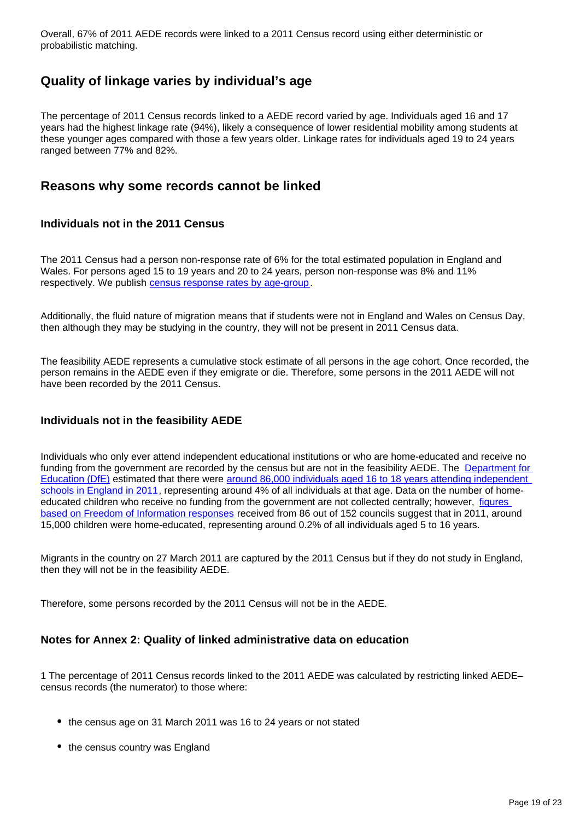Overall, 67% of 2011 AEDE records were linked to a 2011 Census record using either deterministic or probabilistic matching.

### **Quality of linkage varies by individual's age**

The percentage of 2011 Census records linked to a AEDE record varied by age. Individuals aged 16 and 17 years had the highest linkage rate (94%), likely a consequence of lower residential mobility among students at these younger ages compared with those a few years older. Linkage rates for individuals aged 19 to 24 years ranged between 77% and 82%.

#### **Reasons why some records cannot be linked**

#### **Individuals not in the 2011 Census**

The 2011 Census had a person non-response rate of 6% for the total estimated population in England and Wales. For persons aged 15 to 19 years and 20 to 24 years, person non-response was 8% and 11% respectively. We publish [census response rates by age-group](https://webarchive.nationalarchives.gov.uk/20160115211827/http:/www.ons.gov.uk/ons/guide-method/census/2011/census-data/2011-census-data/2011-first-release/first-release--quality-assurance-and-methodology-papers/census-response-rates.xls).

Additionally, the fluid nature of migration means that if students were not in England and Wales on Census Day, then although they may be studying in the country, they will not be present in 2011 Census data.

The feasibility AEDE represents a cumulative stock estimate of all persons in the age cohort. Once recorded, the person remains in the AEDE even if they emigrate or die. Therefore, some persons in the 2011 AEDE will not have been recorded by the 2011 Census.

#### **Individuals not in the feasibility AEDE**

Individuals who only ever attend independent educational institutions or who are home-educated and receive no funding from the government are recorded by the census but are not in the feasibility AEDE. The [Department for](https://www.gov.uk/government/organisations/department-for-education)  [Education \(DfE\)](https://www.gov.uk/government/organisations/department-for-education) estimated that there were [around 86,000 individuals aged 16 to 18 years attending independent](https://www.gov.uk/government/statistics/schools-pupils-and-their-characteristics-january-2011)  [schools in England in 2011,](https://www.gov.uk/government/statistics/schools-pupils-and-their-characteristics-january-2011) representing around 4% of all individuals at that age. Data on the number of homeeducated children who receive no funding from the government are not collected centrally; however, [figures](https://schoolsweek.co.uk/home-education-doubles-with-schools-left-to-pick-up-pieces-when-it-fails/)  [based on Freedom of Information responses](https://schoolsweek.co.uk/home-education-doubles-with-schools-left-to-pick-up-pieces-when-it-fails/) received from 86 out of 152 councils suggest that in 2011, around 15,000 children were home-educated, representing around 0.2% of all individuals aged 5 to 16 years.

Migrants in the country on 27 March 2011 are captured by the 2011 Census but if they do not study in England, then they will not be in the feasibility AEDE.

Therefore, some persons recorded by the 2011 Census will not be in the AEDE.

#### **Notes for Annex 2: Quality of linked administrative data on education**

1 The percentage of 2011 Census records linked to the 2011 AEDE was calculated by restricting linked AEDE– census records (the numerator) to those where:

- the census age on 31 March 2011 was 16 to 24 years or not stated
- the census country was England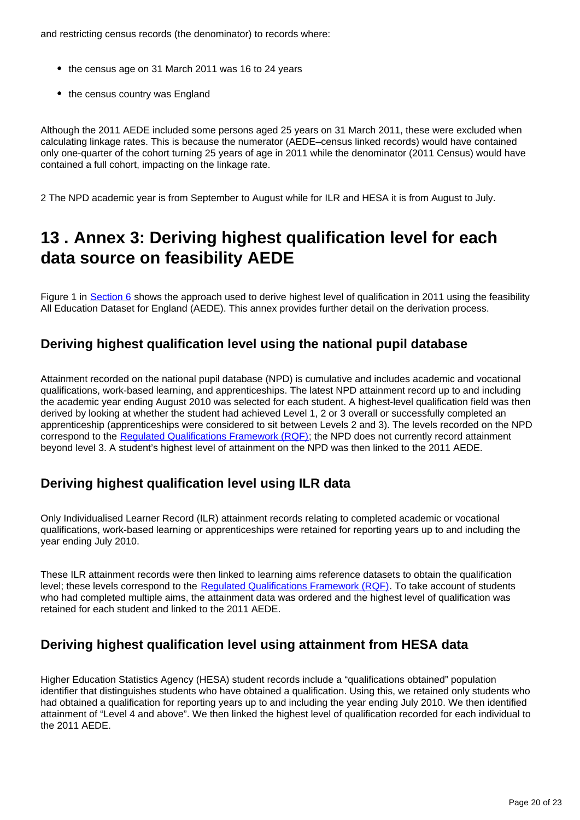and restricting census records (the denominator) to records where:

- the census age on 31 March 2011 was 16 to 24 years
- the census country was England

Although the 2011 AEDE included some persons aged 25 years on 31 March 2011, these were excluded when calculating linkage rates. This is because the numerator (AEDE–census linked records) would have contained only one-quarter of the cohort turning 25 years of age in 2011 while the denominator (2011 Census) would have contained a full cohort, impacting on the linkage rate.

2 The NPD academic year is from September to August while for ILR and HESA it is from August to July.

### <span id="page-19-0"></span>**13 . Annex 3: Deriving highest qualification level for each data source on feasibility AEDE**

Figure 1 in [Section 6](https://www.ons.gov.uk/peoplepopulationandcommunity/educationandchildcare/articles/adminbasedqualificationstatisticsfeasibilityresearchengland/2019-10-22#establishing-highest-qualification-level-from-the-feasibility-aede) shows the approach used to derive highest level of qualification in 2011 using the feasibility All Education Dataset for England (AEDE). This annex provides further detail on the derivation process.

### **Deriving highest qualification level using the national pupil database**

Attainment recorded on the national pupil database (NPD) is cumulative and includes academic and vocational qualifications, work-based learning, and apprenticeships. The latest NPD attainment record up to and including the academic year ending August 2010 was selected for each student. A highest-level qualification field was then derived by looking at whether the student had achieved Level 1, 2 or 3 overall or successfully completed an apprenticeship (apprenticeships were considered to sit between Levels 2 and 3). The levels recorded on the NPD correspond to the [Regulated Qualifications Framework \(RQF\)](https://www.gov.uk/find-a-regulated-qualification); the NPD does not currently record attainment beyond level 3. A student's highest level of attainment on the NPD was then linked to the 2011 AEDE.

### **Deriving highest qualification level using ILR data**

Only Individualised Learner Record (ILR) attainment records relating to completed academic or vocational qualifications, work-based learning or apprenticeships were retained for reporting years up to and including the year ending July 2010.

These ILR attainment records were then linked to learning aims reference datasets to obtain the qualification level; these levels correspond to the [Regulated Qualifications Framework \(RQF\).](https://www.gov.uk/find-a-regulated-qualification) To take account of students who had completed multiple aims, the attainment data was ordered and the highest level of qualification was retained for each student and linked to the 2011 AEDE.

### **Deriving highest qualification level using attainment from HESA data**

Higher Education Statistics Agency (HESA) student records include a "qualifications obtained" population identifier that distinguishes students who have obtained a qualification. Using this, we retained only students who had obtained a qualification for reporting years up to and including the year ending July 2010. We then identified attainment of "Level 4 and above". We then linked the highest level of qualification recorded for each individual to the 2011 AEDE.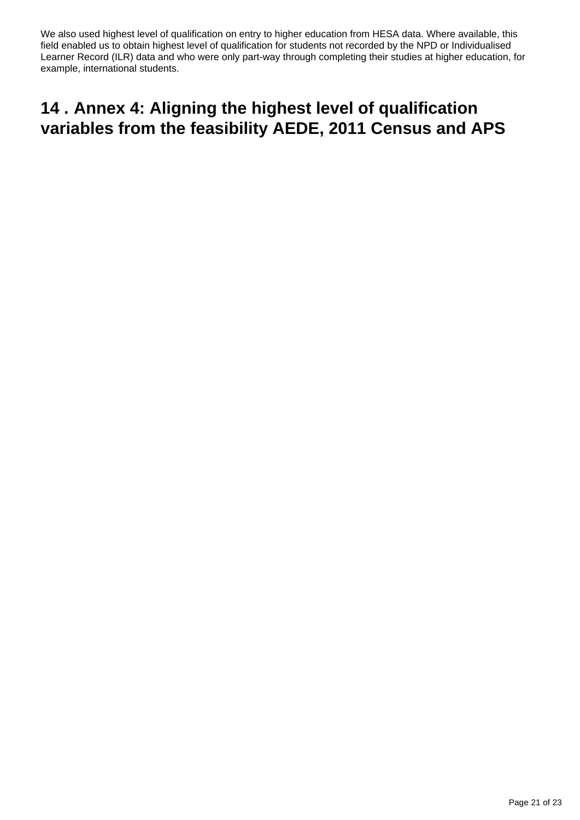We also used highest level of qualification on entry to higher education from HESA data. Where available, this field enabled us to obtain highest level of qualification for students not recorded by the NPD or Individualised Learner Record (ILR) data and who were only part-way through completing their studies at higher education, for example, international students.

### <span id="page-20-0"></span>**14 . Annex 4: Aligning the highest level of qualification variables from the feasibility AEDE, 2011 Census and APS**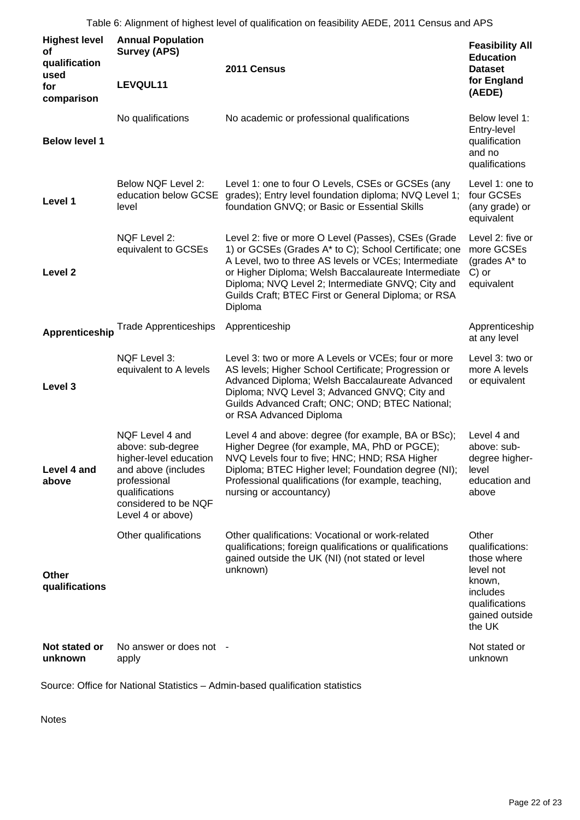Table 6: Alignment of highest level of qualification on feasibility AEDE, 2011 Census and APS

| <b>Highest level</b><br>οf<br>qualification<br>used<br>for<br>comparison | <b>Annual Population</b><br><b>Survey (APS)</b><br>LEVQUL11                                                                                                          | 2011 Census                                                                                                                                                                                                                                                                                                                                         | <b>Feasibility All</b><br><b>Education</b><br><b>Dataset</b><br>for England<br>(AEDE)                                    |  |
|--------------------------------------------------------------------------|----------------------------------------------------------------------------------------------------------------------------------------------------------------------|-----------------------------------------------------------------------------------------------------------------------------------------------------------------------------------------------------------------------------------------------------------------------------------------------------------------------------------------------------|--------------------------------------------------------------------------------------------------------------------------|--|
| <b>Below level 1</b>                                                     | No qualifications                                                                                                                                                    | No academic or professional qualifications                                                                                                                                                                                                                                                                                                          | Below level 1:<br>Entry-level<br>qualification<br>and no<br>qualifications                                               |  |
| Level 1                                                                  | Below NQF Level 2:<br>education below GCSE<br>level                                                                                                                  | Level 1: one to four O Levels, CSEs or GCSEs (any<br>grades); Entry level foundation diploma; NVQ Level 1;<br>foundation GNVQ; or Basic or Essential Skills                                                                                                                                                                                         | Level 1: one to<br>four GCSEs<br>(any grade) or<br>equivalent                                                            |  |
| Level <sub>2</sub>                                                       | NQF Level 2:<br>equivalent to GCSEs                                                                                                                                  | Level 2: five or more O Level (Passes), CSEs (Grade<br>1) or GCSEs (Grades A* to C); School Certificate; one<br>A Level, two to three AS levels or VCEs; Intermediate<br>or Higher Diploma; Welsh Baccalaureate Intermediate<br>Diploma; NVQ Level 2; Intermediate GNVQ; City and<br>Guilds Craft; BTEC First or General Diploma; or RSA<br>Diploma | Level 2: five or<br>more GCSEs<br>(grades A* to<br>C) or<br>equivalent                                                   |  |
| <b>Apprenticeship</b>                                                    | <b>Trade Apprenticeships</b>                                                                                                                                         | Apprenticeship                                                                                                                                                                                                                                                                                                                                      | Apprenticeship<br>at any level                                                                                           |  |
| Level 3                                                                  | NQF Level 3:<br>equivalent to A levels                                                                                                                               | Level 3: two or more A Levels or VCEs; four or more<br>AS levels; Higher School Certificate; Progression or<br>Advanced Diploma; Welsh Baccalaureate Advanced<br>Diploma; NVQ Level 3; Advanced GNVQ; City and<br>Guilds Advanced Craft; ONC; OND; BTEC National;<br>or RSA Advanced Diploma                                                        | Level 3: two or<br>more A levels<br>or equivalent                                                                        |  |
| Level 4 and<br>above                                                     | NQF Level 4 and<br>above: sub-degree<br>higher-level education<br>and above (includes<br>professional<br>qualifications<br>considered to be NQF<br>Level 4 or above) | Level 4 and above: degree (for example, BA or BSc);<br>Higher Degree (for example, MA, PhD or PGCE);<br>NVQ Levels four to five; HNC; HND; RSA Higher<br>Diploma; BTEC Higher level; Foundation degree (NI);<br>Professional qualifications (for example, teaching,<br>nursing or accountancy)                                                      | Level 4 and<br>above: sub-<br>degree higher-<br>level<br>education and<br>above                                          |  |
| Other<br>qualifications                                                  | Other qualifications                                                                                                                                                 | Other qualifications: Vocational or work-related<br>qualifications; foreign qualifications or qualifications<br>gained outside the UK (NI) (not stated or level<br>unknown)                                                                                                                                                                         | Other<br>qualifications:<br>those where<br>level not<br>known,<br>includes<br>qualifications<br>gained outside<br>the UK |  |
| Not stated or<br>unknown                                                 | No answer or does not -<br>apply                                                                                                                                     |                                                                                                                                                                                                                                                                                                                                                     | Not stated or<br>unknown                                                                                                 |  |

Source: Office for National Statistics – Admin-based qualification statistics

Notes